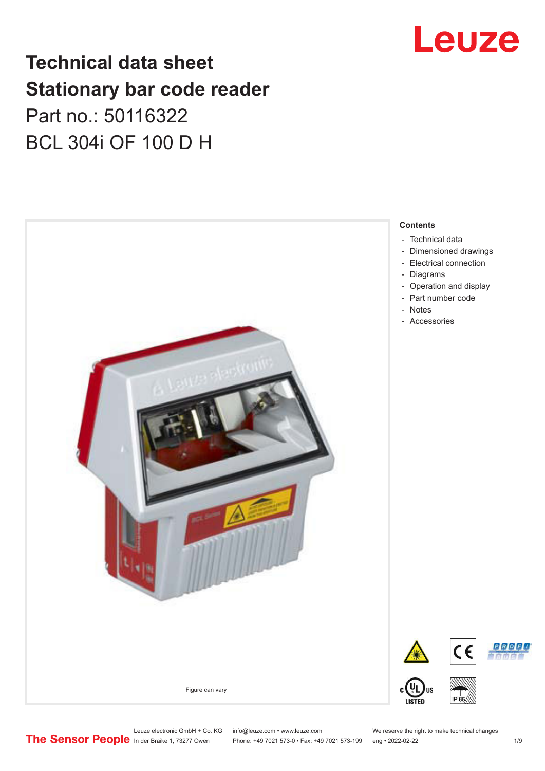## Leuze

### **Technical data sheet Stationary bar code reader** Part no.: 50116322 BCL 304i OF 100 D H



Leuze electronic GmbH + Co. KG info@leuze.com • www.leuze.com We reserve the right to make technical changes<br>
The Sensor People in der Braike 1, 73277 Owen Phone: +49 7021 573-0 • Fax: +49 7021 573-199 eng • 2022-02-22

Phone: +49 7021 573-0 • Fax: +49 7021 573-199 eng • 2022-02-22 1 /9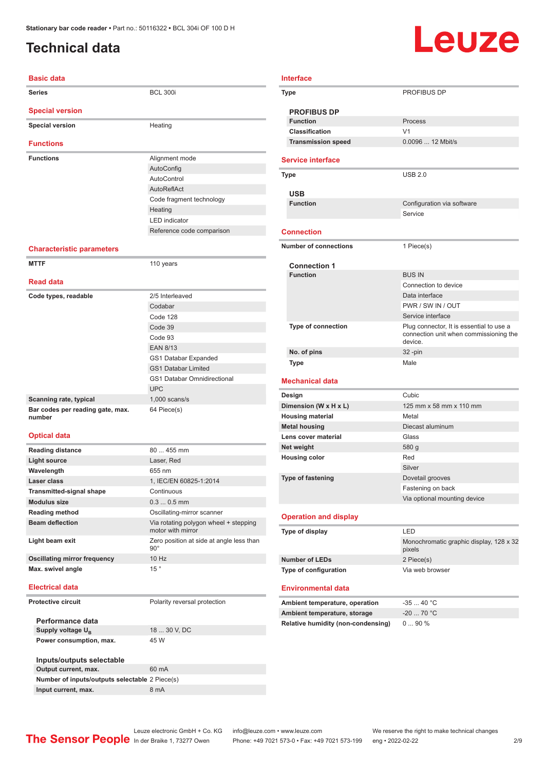### <span id="page-1-0"></span>**Technical data**

## Leuze

| <b>Basic data</b>                          |                                                            |
|--------------------------------------------|------------------------------------------------------------|
| Series                                     | <b>BCL 300i</b>                                            |
| <b>Special version</b>                     |                                                            |
| <b>Special version</b>                     | Heating                                                    |
| <b>Functions</b>                           |                                                            |
| <b>Functions</b>                           | Alignment mode                                             |
|                                            | AutoConfig                                                 |
|                                            | AutoControl                                                |
|                                            | AutoReflAct                                                |
|                                            | Code fragment technology                                   |
|                                            | Heating                                                    |
|                                            | <b>LED</b> indicator                                       |
|                                            | Reference code comparison                                  |
| <b>Characteristic parameters</b>           |                                                            |
| <b>MTTF</b>                                | 110 years                                                  |
|                                            |                                                            |
| <b>Read data</b>                           |                                                            |
| Code types, readable                       | 2/5 Interleaved                                            |
|                                            | Codabar                                                    |
|                                            | Code 128                                                   |
|                                            | Code 39                                                    |
|                                            | Code 93                                                    |
|                                            | <b>EAN 8/13</b>                                            |
|                                            | GS1 Databar Expanded                                       |
|                                            | <b>GS1 Databar Limited</b>                                 |
|                                            | <b>GS1 Databar Omnidirectional</b>                         |
|                                            | <b>UPC</b>                                                 |
| Scanning rate, typical                     | $1,000$ scans/s                                            |
| Bar codes per reading gate, max.<br>number | 64 Piece(s)                                                |
| <b>Optical data</b>                        |                                                            |
|                                            |                                                            |
| <b>Reading distance</b>                    | 80  455 mm                                                 |
| <b>Light source</b>                        | Laser, Red                                                 |
| Wavelength                                 | 655 nm                                                     |
| Laser class                                | 1, IEC/EN 60825-1:2014                                     |
| <b>Transmitted-signal shape</b>            | Continuous                                                 |
| <b>Modulus size</b>                        | $0.30.5$ mm                                                |
| <b>Reading method</b>                      | Oscillating-mirror scanner                                 |
| <b>Beam deflection</b>                     | Via rotating polygon wheel + stepping<br>motor with mirror |
| Light beam exit                            | $90^{\circ}$                                               |
| <b>Oscillating mirror frequency</b>        | Zero position at side at angle less than<br>10 Hz          |

| <b>Interface</b>                   |                                                                                               |
|------------------------------------|-----------------------------------------------------------------------------------------------|
| Type                               | <b>PROFIBUS DP</b>                                                                            |
| <b>PROFIBUS DP</b>                 |                                                                                               |
| <b>Function</b>                    | Process                                                                                       |
| Classification                     | V <sub>1</sub>                                                                                |
| <b>Transmission speed</b>          | 0.0096  12 Mbit/s                                                                             |
| <b>Service interface</b>           |                                                                                               |
| Type                               | <b>USB 2.0</b>                                                                                |
|                                    |                                                                                               |
| <b>USB</b><br><b>Function</b>      | Configuration via software                                                                    |
|                                    | Service                                                                                       |
|                                    |                                                                                               |
| <b>Connection</b>                  |                                                                                               |
| <b>Number of connections</b>       | 1 Piece(s)                                                                                    |
|                                    |                                                                                               |
| <b>Connection 1</b>                |                                                                                               |
| <b>Function</b>                    | <b>BUS IN</b>                                                                                 |
|                                    | Connection to device                                                                          |
|                                    | Data interface                                                                                |
|                                    | PWR / SW IN / OUT                                                                             |
|                                    | Service interface                                                                             |
| Type of connection                 | Plug connector, It is essential to use a<br>connection unit when commissioning the<br>device. |
| No. of pins                        | 32-pin                                                                                        |
| <b>Type</b>                        | Male                                                                                          |
| <b>Mechanical data</b>             |                                                                                               |
| Design                             | Cubic                                                                                         |
| Dimension (W x H x L)              | 125 mm x 58 mm x 110 mm                                                                       |
| <b>Housing material</b>            | Metal                                                                                         |
| <b>Metal housing</b>               | Diecast aluminum                                                                              |
| Lens cover material                | Glass                                                                                         |
| Net weight                         | 580 g                                                                                         |
| <b>Housing color</b>               | Red                                                                                           |
|                                    | Silver                                                                                        |
| Type of fastening                  | Dovetail grooves                                                                              |
|                                    | Fastening on back                                                                             |
|                                    | Via optional mounting device                                                                  |
| <b>Operation and display</b>       |                                                                                               |
| Type of display                    | LED                                                                                           |
|                                    | Monochromatic graphic display, 128 x 32                                                       |
|                                    | pixels                                                                                        |
| <b>Number of LEDs</b>              | 2 Piece(s)<br>Via web browser                                                                 |
| Type of configuration              |                                                                                               |
| <b>Environmental data</b>          |                                                                                               |
| Ambient temperature, operation     | $-3540 °C$                                                                                    |
| Ambient temperature, storage       | $-20$ 70 °C                                                                                   |
| Relative humidity (non-condensing) | 090%                                                                                          |
|                                    |                                                                                               |

**Electrical data**

#### **Protective circuit** Polarity reversal protection

| Performance data                               |              |  |  |
|------------------------------------------------|--------------|--|--|
| Supply voltage U <sub>p</sub>                  | 18  30 V, DC |  |  |
| Power consumption, max.                        | 45 W         |  |  |
|                                                |              |  |  |
| Inputs/outputs selectable                      |              |  |  |
| Output current, max.                           | 60 mA        |  |  |
| Number of inputs/outputs selectable 2 Piece(s) |              |  |  |

**Input current, max.** 8 mA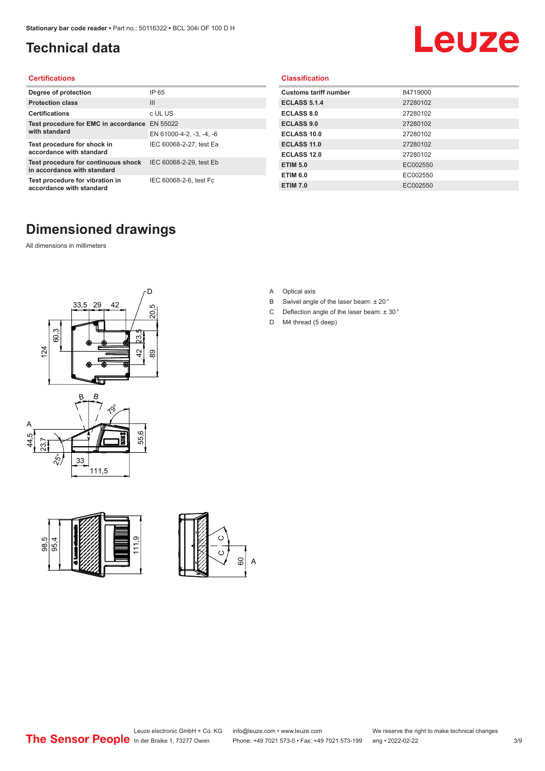#### <span id="page-2-0"></span>**Technical data**

## Leuze

#### **Certifications**

| Degree of protection                                               | IP 65                    |
|--------------------------------------------------------------------|--------------------------|
| <b>Protection class</b>                                            | $\mathbf{III}$           |
| <b>Certifications</b>                                              | c UL US                  |
| Test procedure for EMC in accordance                               | EN 55022                 |
| with standard                                                      | EN 61000-4-2, -3, -4, -6 |
| Test procedure for shock in<br>accordance with standard            | IEC 60068-2-27, test Ea  |
| Test procedure for continuous shock<br>in accordance with standard | IEC 60068-2-29, test Eb  |
| Test procedure for vibration in<br>accordance with standard        | IEC 60068-2-6, test Fc   |

### **Dimensioned drawings**

All dimensions in millimeters







**Classification**

**Customs tariff number** 84719000 **ECLASS 5.1.4** 27280102 **ECLASS 8.0** 27280102 **ECLASS 9.0** 27280102 **ECLASS 10.0** 27280102 **ECLASS 11.0** 27280102 **ECLASS 12.0** 27280102 **ETIM 5.0** EC002550 **ETIM 6.0** EC002550 **ETIM 7.0** EC002550

- A Optical axis
- B Swivel angle of the laser beam: ± 20 °
- C Deflection angle of the laser beam: ± 30 °
- D M4 thread (5 deep)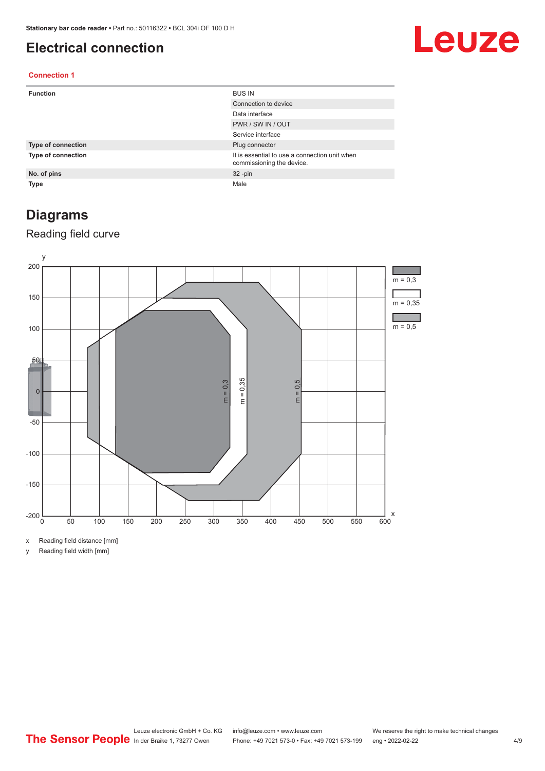#### <span id="page-3-0"></span>**Electrical connection**

### Leuze

#### **Connection 1**

| <b>Function</b>           | <b>BUS IN</b>                                                              |
|---------------------------|----------------------------------------------------------------------------|
|                           | Connection to device                                                       |
|                           | Data interface                                                             |
|                           | PWR / SW IN / OUT                                                          |
|                           | Service interface                                                          |
| <b>Type of connection</b> | Plug connector                                                             |
| <b>Type of connection</b> | It is essential to use a connection unit when<br>commissioning the device. |
| No. of pins               | $32 - pin$                                                                 |
| <b>Type</b>               | Male                                                                       |

#### **Diagrams**

#### Reading field curve



x Reading field distance [mm]

y Reading field width [mm]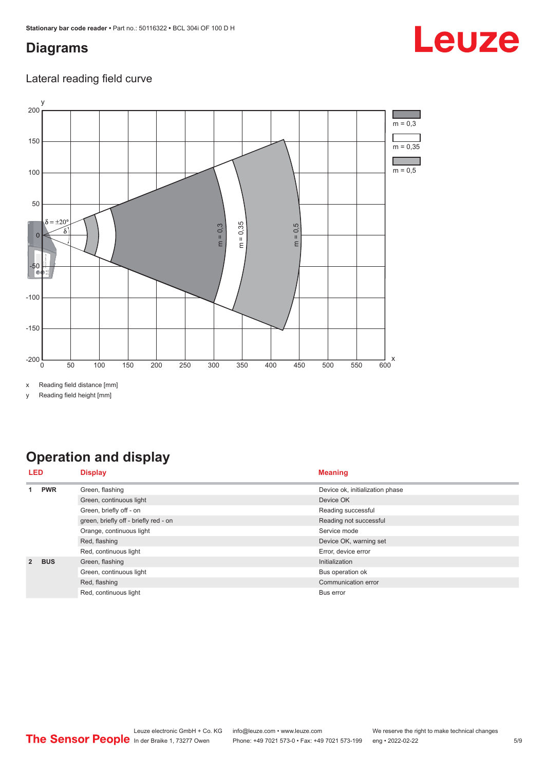#### <span id="page-4-0"></span>**Diagrams**

# Leuze

#### Lateral reading field curve



x Reading field distance [mm]

y Reading field height [mm]

### **Operation and display**

| LED           |                         | <b>Display</b>                        | <b>Meaning</b>                  |
|---------------|-------------------------|---------------------------------------|---------------------------------|
|               | <b>PWR</b>              | Green, flashing                       | Device ok, initialization phase |
|               |                         | Green, continuous light               | Device OK                       |
|               |                         | Green, briefly off - on               | Reading successful              |
|               |                         | green, briefly off - briefly red - on | Reading not successful          |
|               |                         | Orange, continuous light              | Service mode                    |
|               | Red, flashing           | Device OK, warning set                |                                 |
|               |                         | Red, continuous light                 | Error, device error             |
| $\mathcal{P}$ | <b>BUS</b>              | Green, flashing                       | Initialization                  |
|               | Green, continuous light | Bus operation ok                      |                                 |
|               |                         | Red, flashing                         | Communication error             |
|               |                         | Red, continuous light                 | Bus error                       |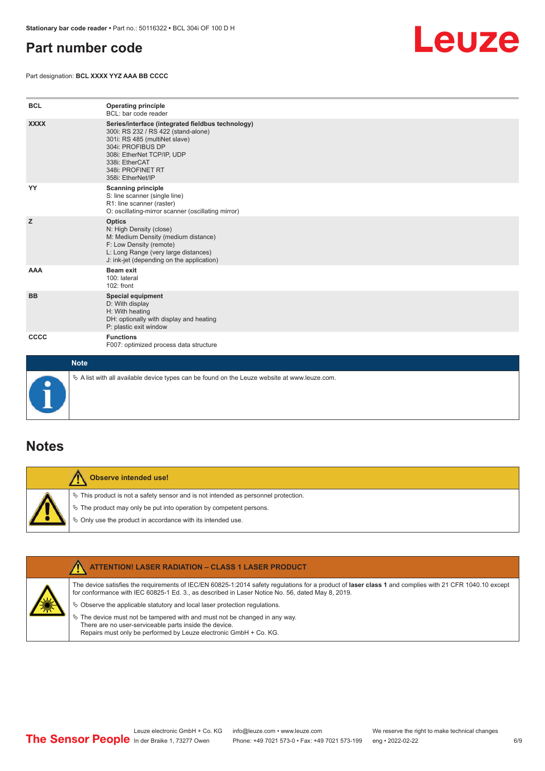#### <span id="page-5-0"></span>**Part number code**

Part designation: **BCL XXXX YYZ AAA BB CCCC**



| <b>BCL</b>  | <b>Operating principle</b><br>BCL: bar code reader                                                                                                                                                                                       |
|-------------|------------------------------------------------------------------------------------------------------------------------------------------------------------------------------------------------------------------------------------------|
| <b>XXXX</b> | Series/interface (integrated fieldbus technology)<br>300i: RS 232 / RS 422 (stand-alone)<br>301i: RS 485 (multiNet slave)<br>304i: PROFIBUS DP<br>308i: EtherNet TCP/IP, UDP<br>338i: EtherCAT<br>348i: PROFINET RT<br>358i: EtherNet/IP |
| YY          | <b>Scanning principle</b><br>S: line scanner (single line)<br>R1: line scanner (raster)<br>O: oscillating-mirror scanner (oscillating mirror)                                                                                            |
| z           | <b>Optics</b><br>N: High Density (close)<br>M: Medium Density (medium distance)<br>F: Low Density (remote)<br>L: Long Range (very large distances)<br>J: ink-jet (depending on the application)                                          |
| <b>AAA</b>  | <b>Beam exit</b><br>100: lateral<br>102: front                                                                                                                                                                                           |
| <b>BB</b>   | <b>Special equipment</b><br>D: With display<br>H: With heating<br>DH: optionally with display and heating<br>P: plastic exit window                                                                                                      |
| CCCC        | <b>Functions</b><br>F007: optimized process data structure                                                                                                                                                                               |
| <b>Note</b> |                                                                                                                                                                                                                                          |



 $\%$  A list with all available device types can be found on the Leuze website at www.leuze.com.

#### **Notes**

**Observe intended use!** Λ  $\%$  This product is not a safety sensor and is not intended as personnel protection.  $\%$  The product may only be put into operation by competent persons.  $\%$  Only use the product in accordance with its intended use.

| <b>ATTENTION! LASER RADIATION - CLASS 1 LASER PRODUCT</b>                                                                                                                                                                                                  |
|------------------------------------------------------------------------------------------------------------------------------------------------------------------------------------------------------------------------------------------------------------|
| The device satisfies the requirements of IEC/EN 60825-1:2014 safety requlations for a product of laser class 1 and complies with 21 CFR 1040.10 except<br>for conformance with IEC 60825-1 Ed. 3., as described in Laser Notice No. 56, dated May 8, 2019. |
| $\&$ Observe the applicable statutory and local laser protection requisitions.                                                                                                                                                                             |
| $\%$ The device must not be tampered with and must not be changed in any way.<br>There are no user-serviceable parts inside the device.<br>Repairs must only be performed by Leuze electronic GmbH + Co. KG.                                               |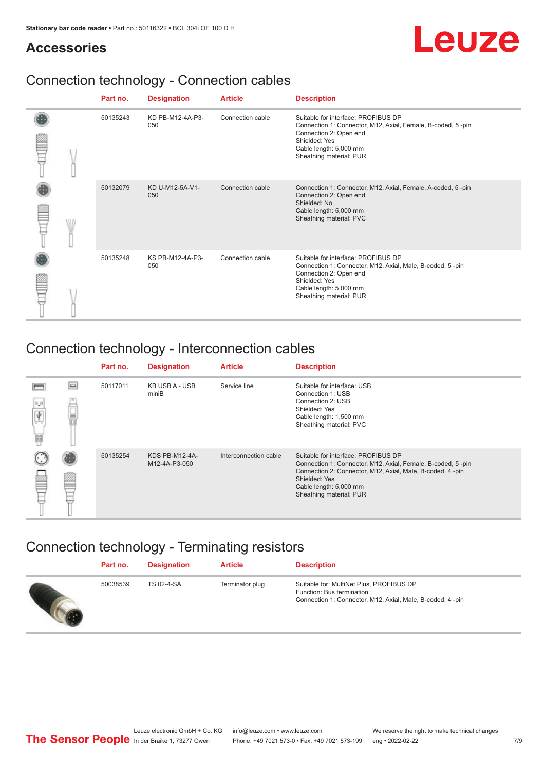## Leuze

#### **Accessories**

### Connection technology - Connection cables

|   | Part no. | <b>Designation</b>      | <b>Article</b>   | <b>Description</b>                                                                                                                                                                                 |
|---|----------|-------------------------|------------------|----------------------------------------------------------------------------------------------------------------------------------------------------------------------------------------------------|
|   | 50135243 | KD PB-M12-4A-P3-<br>050 | Connection cable | Suitable for interface: PROFIBUS DP<br>Connection 1: Connector, M12, Axial, Female, B-coded, 5-pin<br>Connection 2: Open end<br>Shielded: Yes<br>Cable length: 5,000 mm<br>Sheathing material: PUR |
| W | 50132079 | KD U-M12-5A-V1-<br>050  | Connection cable | Connection 1: Connector, M12, Axial, Female, A-coded, 5-pin<br>Connection 2: Open end<br>Shielded: No<br>Cable length: 5,000 mm<br>Sheathing material: PVC                                         |
|   | 50135248 | KS PB-M12-4A-P3-<br>050 | Connection cable | Suitable for interface: PROFIBUS DP<br>Connection 1: Connector, M12, Axial, Male, B-coded, 5-pin<br>Connection 2: Open end<br>Shielded: Yes<br>Cable length: 5,000 mm<br>Sheathing material: PUR   |

#### Connection technology - Interconnection cables

|                |          | Part no. | <b>Designation</b>              | <b>Article</b>        | <b>Description</b>                                                                                                                                                                                                                    |
|----------------|----------|----------|---------------------------------|-----------------------|---------------------------------------------------------------------------------------------------------------------------------------------------------------------------------------------------------------------------------------|
| $0\,$ $0$<br>扁 | $\equiv$ | 50117011 | KB USB A - USB<br>miniB         | Service line          | Suitable for interface: USB<br>Connection 1: USB<br>Connection 2: USB<br>Shielded: Yes<br>Cable length: 1,500 mm<br>Sheathing material: PVC                                                                                           |
|                |          | 50135254 | KDS PB-M12-4A-<br>M12-4A-P3-050 | Interconnection cable | Suitable for interface: PROFIBUS DP<br>Connection 1: Connector, M12, Axial, Female, B-coded, 5-pin<br>Connection 2: Connector, M12, Axial, Male, B-coded, 4-pin<br>Shielded: Yes<br>Cable length: 5,000 mm<br>Sheathing material: PUR |

### Connection technology - Terminating resistors

| Part no. | <b>Designation</b> | <b>Article</b>  | <b>Description</b>                                                                                                                 |
|----------|--------------------|-----------------|------------------------------------------------------------------------------------------------------------------------------------|
| 50038539 | <b>TS 02-4-SA</b>  | Terminator plug | Suitable for: MultiNet Plus, PROFIBUS DP<br>Function: Bus termination<br>Connection 1: Connector, M12, Axial, Male, B-coded, 4-pin |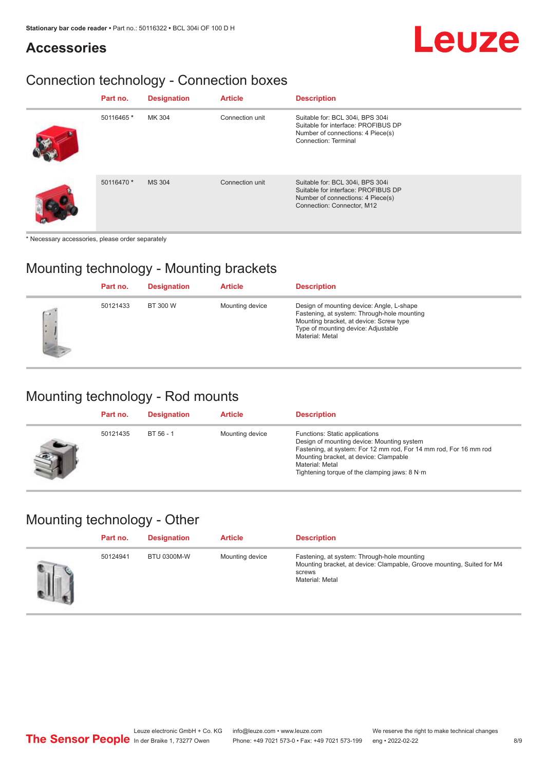#### **Accessories**

#### Connection technology - Connection boxes

| Part no.   | <b>Designation</b> | <b>Article</b>  | <b>Description</b>                                                                                                                         |
|------------|--------------------|-----------------|--------------------------------------------------------------------------------------------------------------------------------------------|
| 50116465 * | MK 304             | Connection unit | Suitable for: BCL 304i, BPS 304i<br>Suitable for interface: PROFIBUS DP<br>Number of connections: 4 Piece(s)<br>Connection: Terminal       |
| 50116470 * | <b>MS 304</b>      | Connection unit | Suitable for: BCL 304i, BPS 304i<br>Suitable for interface: PROFIBUS DP<br>Number of connections: 4 Piece(s)<br>Connection: Connector, M12 |

\* Necessary accessories, please order separately

#### Mounting technology - Mounting brackets

|                      | Part no. | <b>Designation</b> | <b>Article</b>  | <b>Description</b>                                                                                                                                                                            |
|----------------------|----------|--------------------|-----------------|-----------------------------------------------------------------------------------------------------------------------------------------------------------------------------------------------|
| $\sqrt{2}$<br>ı.<br> | 50121433 | BT 300 W           | Mounting device | Design of mounting device: Angle, L-shape<br>Fastening, at system: Through-hole mounting<br>Mounting bracket, at device: Screw type<br>Type of mounting device: Adjustable<br>Material: Metal |

#### Mounting technology - Rod mounts

| Part no. | <b>Designation</b> | <b>Article</b>  | <b>Description</b>                                                                                                                                                                                                                                                |
|----------|--------------------|-----------------|-------------------------------------------------------------------------------------------------------------------------------------------------------------------------------------------------------------------------------------------------------------------|
| 50121435 | BT 56 - 1          | Mounting device | Functions: Static applications<br>Design of mounting device: Mounting system<br>Fastening, at system: For 12 mm rod, For 14 mm rod, For 16 mm rod<br>Mounting bracket, at device: Clampable<br>Material: Metal<br>Tightening torque of the clamping jaws: $8 N·m$ |

#### Mounting technology - Other

| Part no. | <b>Designation</b> | <b>Article</b>  | <b>Description</b>                                                                                                                                 |
|----------|--------------------|-----------------|----------------------------------------------------------------------------------------------------------------------------------------------------|
| 50124941 | <b>BTU 0300M-W</b> | Mounting device | Fastening, at system: Through-hole mounting<br>Mounting bracket, at device: Clampable, Groove mounting, Suited for M4<br>screws<br>Material: Metal |

Leuze